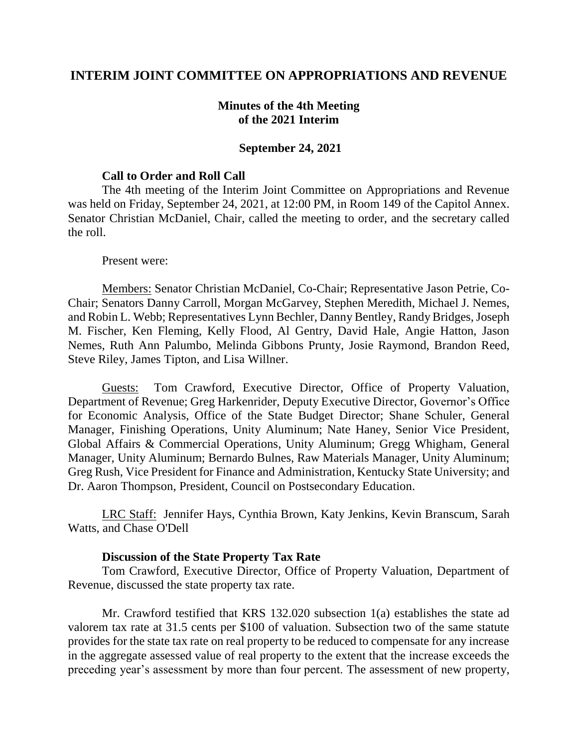## **INTERIM JOINT COMMITTEE ON APPROPRIATIONS AND REVENUE**

## **Minutes of the 4th Meeting of the 2021 Interim**

#### **September 24, 2021**

#### **Call to Order and Roll Call**

The 4th meeting of the Interim Joint Committee on Appropriations and Revenue was held on Friday, September 24, 2021, at 12:00 PM, in Room 149 of the Capitol Annex. Senator Christian McDaniel, Chair, called the meeting to order, and the secretary called the roll.

#### Present were:

Members: Senator Christian McDaniel, Co-Chair; Representative Jason Petrie, Co-Chair; Senators Danny Carroll, Morgan McGarvey, Stephen Meredith, Michael J. Nemes, and Robin L. Webb; Representatives Lynn Bechler, Danny Bentley, Randy Bridges, Joseph M. Fischer, Ken Fleming, Kelly Flood, Al Gentry, David Hale, Angie Hatton, Jason Nemes, Ruth Ann Palumbo, Melinda Gibbons Prunty, Josie Raymond, Brandon Reed, Steve Riley, James Tipton, and Lisa Willner.

Guests: Tom Crawford, Executive Director, Office of Property Valuation, Department of Revenue; Greg Harkenrider, Deputy Executive Director, Governor's Office for Economic Analysis, Office of the State Budget Director; Shane Schuler, General Manager, Finishing Operations, Unity Aluminum; Nate Haney, Senior Vice President, Global Affairs & Commercial Operations, Unity Aluminum; Gregg Whigham, General Manager, Unity Aluminum; Bernardo Bulnes, Raw Materials Manager, Unity Aluminum; Greg Rush, Vice President for Finance and Administration, Kentucky State University; and Dr. Aaron Thompson, President, Council on Postsecondary Education.

LRC Staff: Jennifer Hays, Cynthia Brown, Katy Jenkins, Kevin Branscum, Sarah Watts, and Chase O'Dell

#### **Discussion of the State Property Tax Rate**

Tom Crawford, Executive Director, Office of Property Valuation, Department of Revenue, discussed the state property tax rate.

Mr. Crawford testified that KRS 132.020 subsection 1(a) establishes the state ad valorem tax rate at 31.5 cents per \$100 of valuation. Subsection two of the same statute provides for the state tax rate on real property to be reduced to compensate for any increase in the aggregate assessed value of real property to the extent that the increase exceeds the preceding year's assessment by more than four percent. The assessment of new property,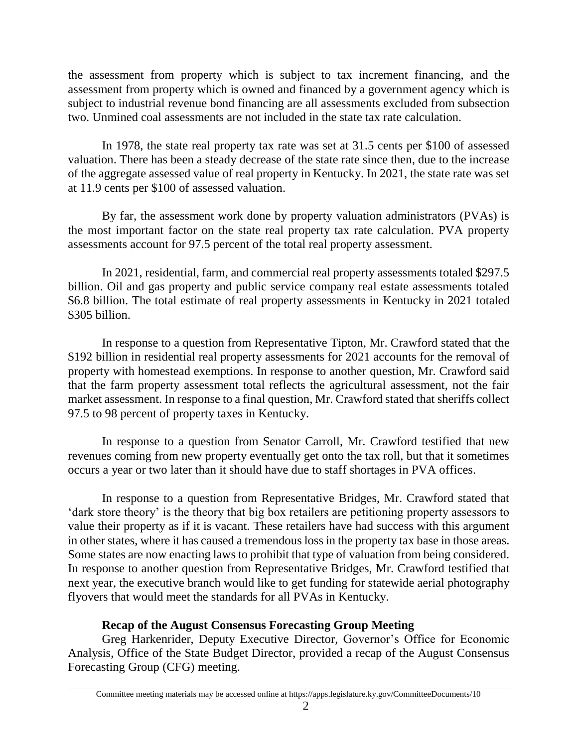the assessment from property which is subject to tax increment financing, and the assessment from property which is owned and financed by a government agency which is subject to industrial revenue bond financing are all assessments excluded from subsection two. Unmined coal assessments are not included in the state tax rate calculation.

In 1978, the state real property tax rate was set at 31.5 cents per \$100 of assessed valuation. There has been a steady decrease of the state rate since then, due to the increase of the aggregate assessed value of real property in Kentucky. In 2021, the state rate was set at 11.9 cents per \$100 of assessed valuation.

By far, the assessment work done by property valuation administrators (PVAs) is the most important factor on the state real property tax rate calculation. PVA property assessments account for 97.5 percent of the total real property assessment.

In 2021, residential, farm, and commercial real property assessments totaled \$297.5 billion. Oil and gas property and public service company real estate assessments totaled \$6.8 billion. The total estimate of real property assessments in Kentucky in 2021 totaled \$305 billion.

In response to a question from Representative Tipton, Mr. Crawford stated that the \$192 billion in residential real property assessments for 2021 accounts for the removal of property with homestead exemptions. In response to another question, Mr. Crawford said that the farm property assessment total reflects the agricultural assessment, not the fair market assessment. In response to a final question, Mr. Crawford stated that sheriffs collect 97.5 to 98 percent of property taxes in Kentucky.

In response to a question from Senator Carroll, Mr. Crawford testified that new revenues coming from new property eventually get onto the tax roll, but that it sometimes occurs a year or two later than it should have due to staff shortages in PVA offices.

In response to a question from Representative Bridges, Mr. Crawford stated that 'dark store theory' is the theory that big box retailers are petitioning property assessors to value their property as if it is vacant. These retailers have had success with this argument in other states, where it has caused a tremendous loss in the property tax base in those areas. Some states are now enacting laws to prohibit that type of valuation from being considered. In response to another question from Representative Bridges, Mr. Crawford testified that next year, the executive branch would like to get funding for statewide aerial photography flyovers that would meet the standards for all PVAs in Kentucky.

# **Recap of the August Consensus Forecasting Group Meeting**

Greg Harkenrider, Deputy Executive Director, Governor's Office for Economic Analysis, Office of the State Budget Director, provided a recap of the August Consensus Forecasting Group (CFG) meeting.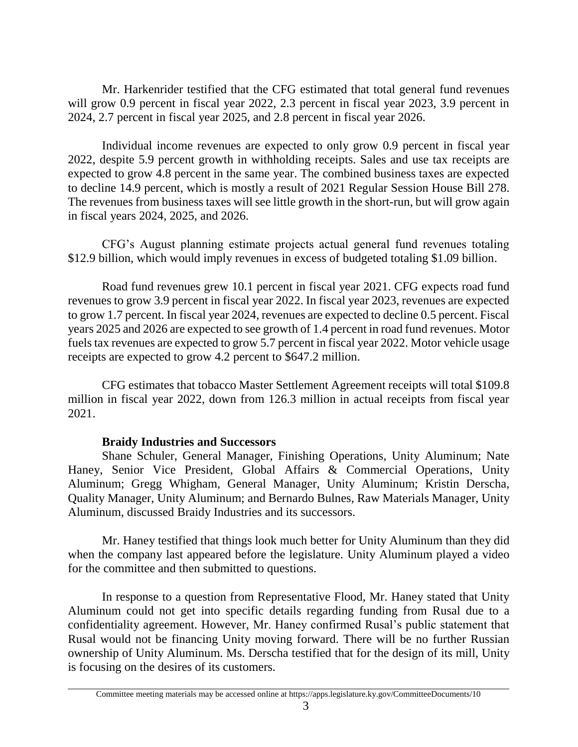Mr. Harkenrider testified that the CFG estimated that total general fund revenues will grow 0.9 percent in fiscal year 2022, 2.3 percent in fiscal year 2023, 3.9 percent in 2024, 2.7 percent in fiscal year 2025, and 2.8 percent in fiscal year 2026.

Individual income revenues are expected to only grow 0.9 percent in fiscal year 2022, despite 5.9 percent growth in withholding receipts. Sales and use tax receipts are expected to grow 4.8 percent in the same year. The combined business taxes are expected to decline 14.9 percent, which is mostly a result of 2021 Regular Session House Bill 278. The revenues from business taxes will see little growth in the short-run, but will grow again in fiscal years 2024, 2025, and 2026.

CFG's August planning estimate projects actual general fund revenues totaling \$12.9 billion, which would imply revenues in excess of budgeted totaling \$1.09 billion.

Road fund revenues grew 10.1 percent in fiscal year 2021. CFG expects road fund revenues to grow 3.9 percent in fiscal year 2022. In fiscal year 2023, revenues are expected to grow 1.7 percent. In fiscal year 2024, revenues are expected to decline 0.5 percent. Fiscal years 2025 and 2026 are expected to see growth of 1.4 percent in road fund revenues. Motor fuels tax revenues are expected to grow 5.7 percent in fiscal year 2022. Motor vehicle usage receipts are expected to grow 4.2 percent to \$647.2 million.

CFG estimates that tobacco Master Settlement Agreement receipts will total \$109.8 million in fiscal year 2022, down from 126.3 million in actual receipts from fiscal year 2021.

## **Braidy Industries and Successors**

Shane Schuler, General Manager, Finishing Operations, Unity Aluminum; Nate Haney, Senior Vice President, Global Affairs & Commercial Operations, Unity Aluminum; Gregg Whigham, General Manager, Unity Aluminum; Kristin Derscha, Quality Manager, Unity Aluminum; and Bernardo Bulnes, Raw Materials Manager, Unity Aluminum, discussed Braidy Industries and its successors.

Mr. Haney testified that things look much better for Unity Aluminum than they did when the company last appeared before the legislature. Unity Aluminum played a video for the committee and then submitted to questions.

In response to a question from Representative Flood, Mr. Haney stated that Unity Aluminum could not get into specific details regarding funding from Rusal due to a confidentiality agreement. However, Mr. Haney confirmed Rusal's public statement that Rusal would not be financing Unity moving forward. There will be no further Russian ownership of Unity Aluminum. Ms. Derscha testified that for the design of its mill, Unity is focusing on the desires of its customers.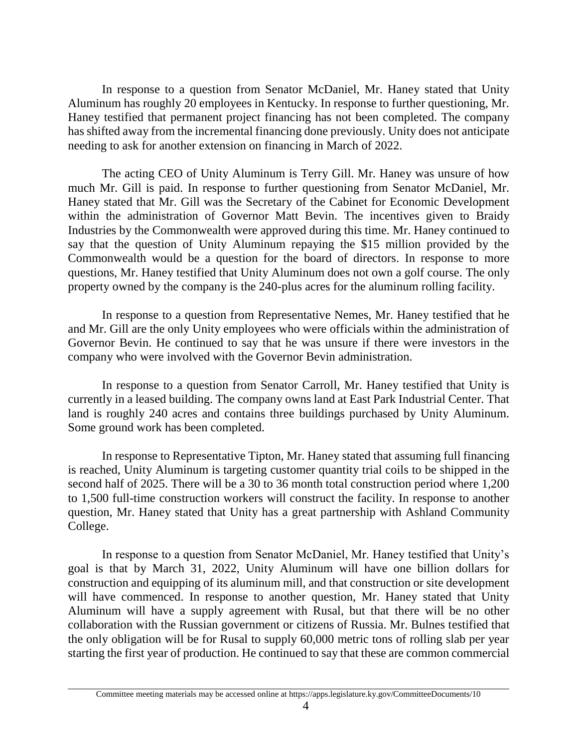In response to a question from Senator McDaniel, Mr. Haney stated that Unity Aluminum has roughly 20 employees in Kentucky. In response to further questioning, Mr. Haney testified that permanent project financing has not been completed. The company has shifted away from the incremental financing done previously. Unity does not anticipate needing to ask for another extension on financing in March of 2022.

The acting CEO of Unity Aluminum is Terry Gill. Mr. Haney was unsure of how much Mr. Gill is paid. In response to further questioning from Senator McDaniel, Mr. Haney stated that Mr. Gill was the Secretary of the Cabinet for Economic Development within the administration of Governor Matt Bevin. The incentives given to Braidy Industries by the Commonwealth were approved during this time. Mr. Haney continued to say that the question of Unity Aluminum repaying the \$15 million provided by the Commonwealth would be a question for the board of directors. In response to more questions, Mr. Haney testified that Unity Aluminum does not own a golf course. The only property owned by the company is the 240-plus acres for the aluminum rolling facility.

In response to a question from Representative Nemes, Mr. Haney testified that he and Mr. Gill are the only Unity employees who were officials within the administration of Governor Bevin. He continued to say that he was unsure if there were investors in the company who were involved with the Governor Bevin administration.

In response to a question from Senator Carroll, Mr. Haney testified that Unity is currently in a leased building. The company owns land at East Park Industrial Center. That land is roughly 240 acres and contains three buildings purchased by Unity Aluminum. Some ground work has been completed.

In response to Representative Tipton, Mr. Haney stated that assuming full financing is reached, Unity Aluminum is targeting customer quantity trial coils to be shipped in the second half of 2025. There will be a 30 to 36 month total construction period where 1,200 to 1,500 full-time construction workers will construct the facility. In response to another question, Mr. Haney stated that Unity has a great partnership with Ashland Community College.

In response to a question from Senator McDaniel, Mr. Haney testified that Unity's goal is that by March 31, 2022, Unity Aluminum will have one billion dollars for construction and equipping of its aluminum mill, and that construction or site development will have commenced. In response to another question, Mr. Haney stated that Unity Aluminum will have a supply agreement with Rusal, but that there will be no other collaboration with the Russian government or citizens of Russia. Mr. Bulnes testified that the only obligation will be for Rusal to supply 60,000 metric tons of rolling slab per year starting the first year of production. He continued to say that these are common commercial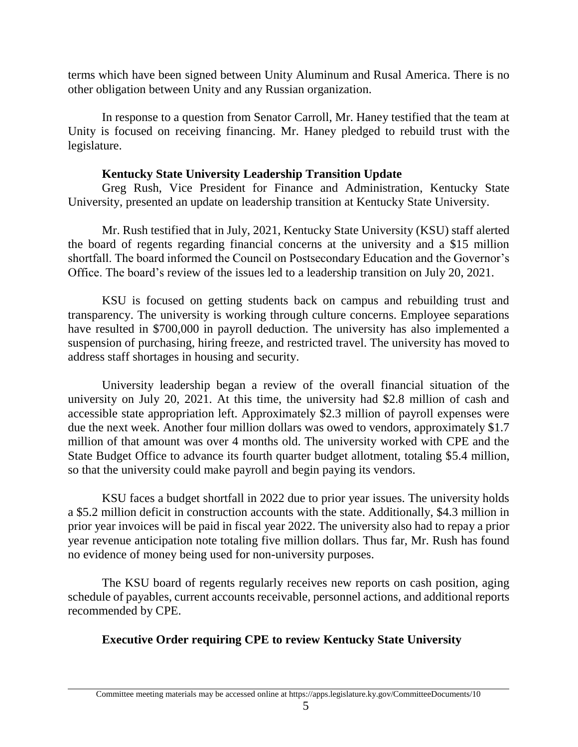terms which have been signed between Unity Aluminum and Rusal America. There is no other obligation between Unity and any Russian organization.

In response to a question from Senator Carroll, Mr. Haney testified that the team at Unity is focused on receiving financing. Mr. Haney pledged to rebuild trust with the legislature.

## **Kentucky State University Leadership Transition Update**

Greg Rush, Vice President for Finance and Administration, Kentucky State University, presented an update on leadership transition at Kentucky State University.

Mr. Rush testified that in July, 2021, Kentucky State University (KSU) staff alerted the board of regents regarding financial concerns at the university and a \$15 million shortfall. The board informed the Council on Postsecondary Education and the Governor's Office. The board's review of the issues led to a leadership transition on July 20, 2021.

KSU is focused on getting students back on campus and rebuilding trust and transparency. The university is working through culture concerns. Employee separations have resulted in \$700,000 in payroll deduction. The university has also implemented a suspension of purchasing, hiring freeze, and restricted travel. The university has moved to address staff shortages in housing and security.

University leadership began a review of the overall financial situation of the university on July 20, 2021. At this time, the university had \$2.8 million of cash and accessible state appropriation left. Approximately \$2.3 million of payroll expenses were due the next week. Another four million dollars was owed to vendors, approximately \$1.7 million of that amount was over 4 months old. The university worked with CPE and the State Budget Office to advance its fourth quarter budget allotment, totaling \$5.4 million, so that the university could make payroll and begin paying its vendors.

KSU faces a budget shortfall in 2022 due to prior year issues. The university holds a \$5.2 million deficit in construction accounts with the state. Additionally, \$4.3 million in prior year invoices will be paid in fiscal year 2022. The university also had to repay a prior year revenue anticipation note totaling five million dollars. Thus far, Mr. Rush has found no evidence of money being used for non-university purposes.

The KSU board of regents regularly receives new reports on cash position, aging schedule of payables, current accounts receivable, personnel actions, and additional reports recommended by CPE.

# **Executive Order requiring CPE to review Kentucky State University**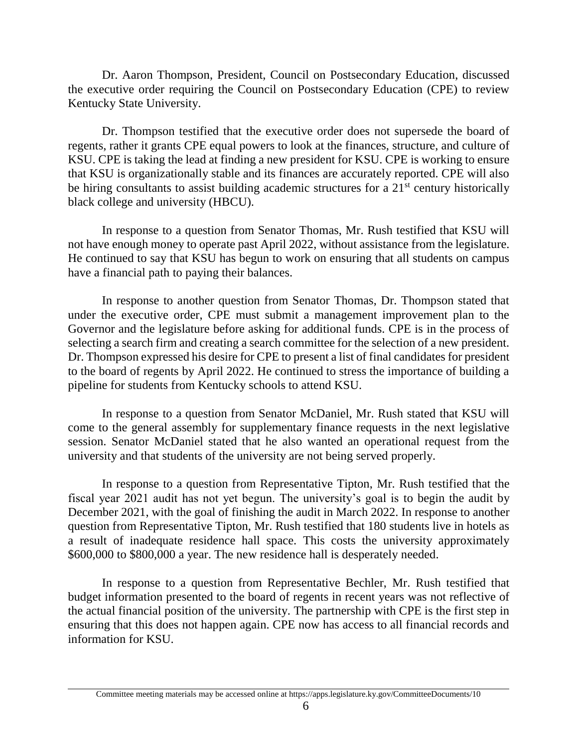Dr. Aaron Thompson, President, Council on Postsecondary Education, discussed the executive order requiring the Council on Postsecondary Education (CPE) to review Kentucky State University.

Dr. Thompson testified that the executive order does not supersede the board of regents, rather it grants CPE equal powers to look at the finances, structure, and culture of KSU. CPE is taking the lead at finding a new president for KSU. CPE is working to ensure that KSU is organizationally stable and its finances are accurately reported. CPE will also be hiring consultants to assist building academic structures for a  $21<sup>st</sup>$  century historically black college and university (HBCU).

In response to a question from Senator Thomas, Mr. Rush testified that KSU will not have enough money to operate past April 2022, without assistance from the legislature. He continued to say that KSU has begun to work on ensuring that all students on campus have a financial path to paying their balances.

In response to another question from Senator Thomas, Dr. Thompson stated that under the executive order, CPE must submit a management improvement plan to the Governor and the legislature before asking for additional funds. CPE is in the process of selecting a search firm and creating a search committee for the selection of a new president. Dr. Thompson expressed his desire for CPE to present a list of final candidates for president to the board of regents by April 2022. He continued to stress the importance of building a pipeline for students from Kentucky schools to attend KSU.

In response to a question from Senator McDaniel, Mr. Rush stated that KSU will come to the general assembly for supplementary finance requests in the next legislative session. Senator McDaniel stated that he also wanted an operational request from the university and that students of the university are not being served properly.

In response to a question from Representative Tipton, Mr. Rush testified that the fiscal year 2021 audit has not yet begun. The university's goal is to begin the audit by December 2021, with the goal of finishing the audit in March 2022. In response to another question from Representative Tipton, Mr. Rush testified that 180 students live in hotels as a result of inadequate residence hall space. This costs the university approximately \$600,000 to \$800,000 a year. The new residence hall is desperately needed.

In response to a question from Representative Bechler, Mr. Rush testified that budget information presented to the board of regents in recent years was not reflective of the actual financial position of the university. The partnership with CPE is the first step in ensuring that this does not happen again. CPE now has access to all financial records and information for KSU.

Committee meeting materials may be accessed online at https://apps.legislature.ky.gov/CommitteeDocuments/10